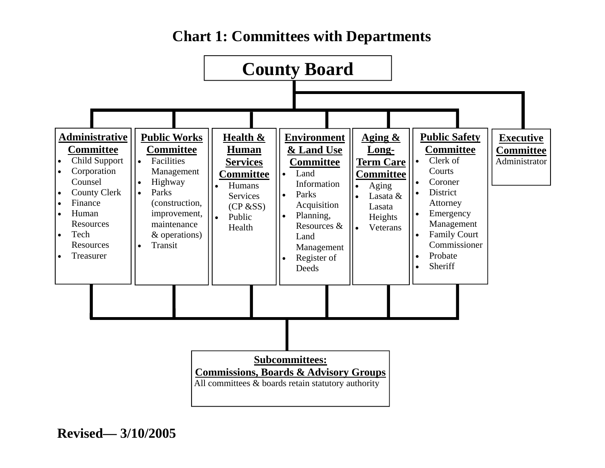# **Chart 1: Committees with Departments**

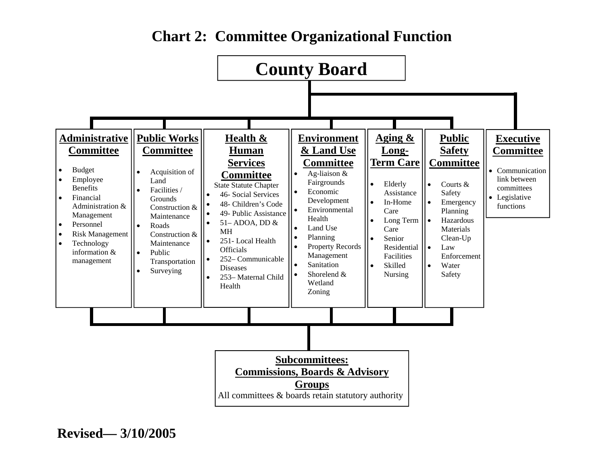

## **Chart 2: Committee Organizational Function**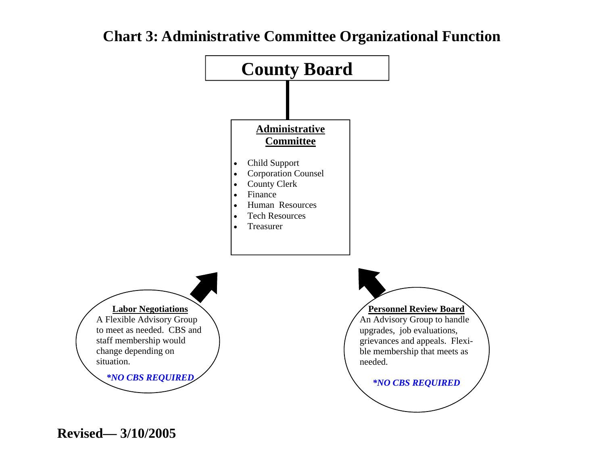

#### **Chart 3: Administrative Committee Organizational Function**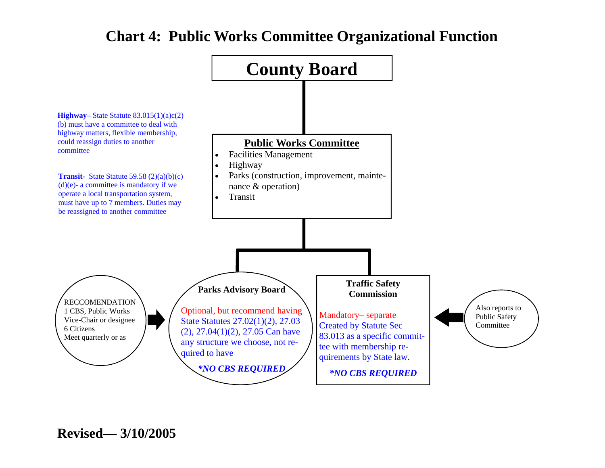# **Chart 4: Public Works Committee Organizational Function**

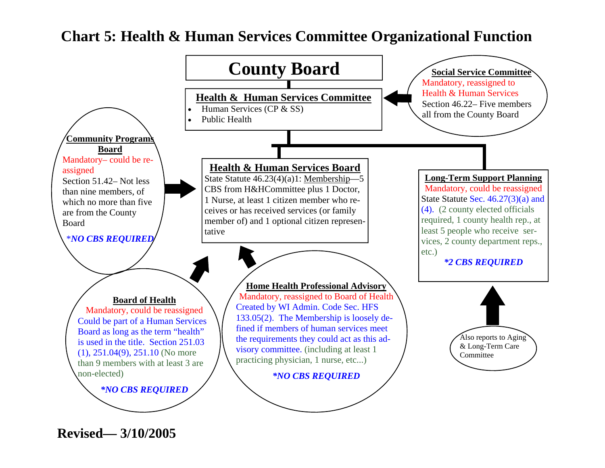#### **Chart 5: Health & Human Services Committee Organizational Function**

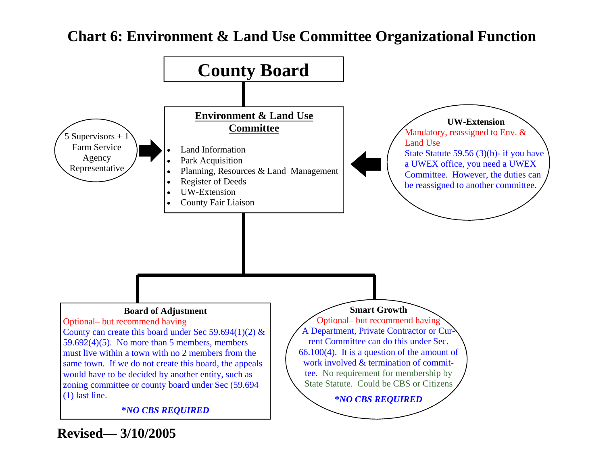# **Chart 6: Environment & Land Use Committee Organizational Function**

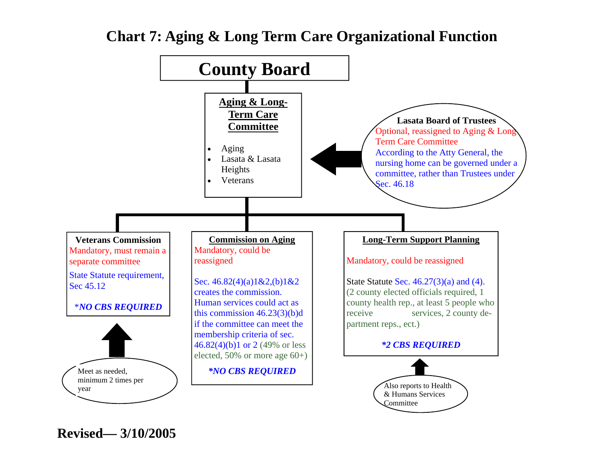# **Chart 7: Aging & Long Term Care Organizational Function**

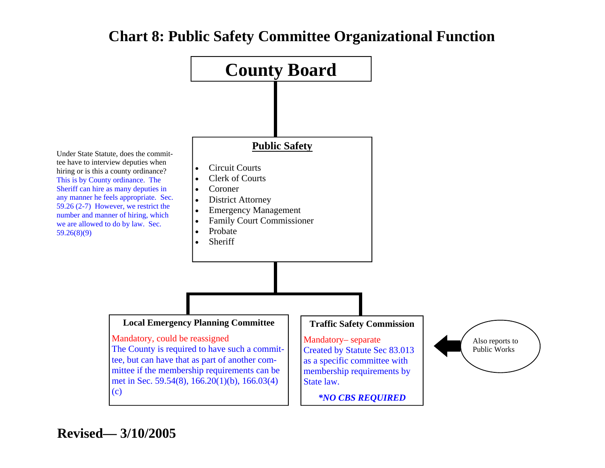# **Chart 8: Public Safety Committee Organizational Function**

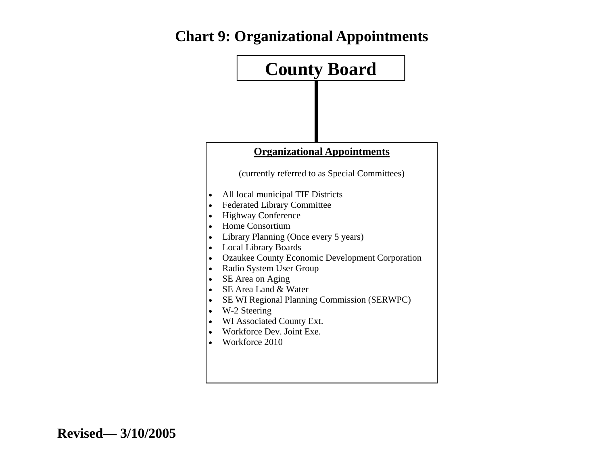# **Chart 9: Organizational Appointments**